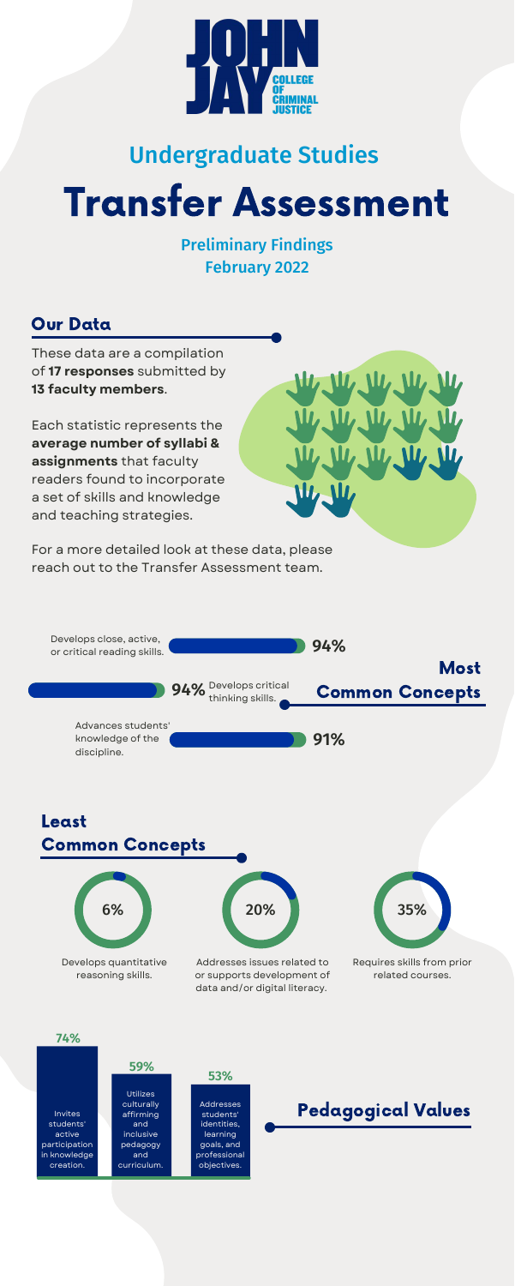

These data are a compilation of **17 responses** submitted by **13 faculty members**.

Each statistic represents the **average number of syllabi & assignments** that faculty readers found to incorporate a set of skills and knowledge and teaching strategies.



## Our Data

# Transfer Assessment

Preliminary Findings February 2022



# Undergraduate Studies

#### Least Common Concepts



Develops quantitative reasoning skills.

Addresses issues related to or supports development of data and/or digital literacy.



 $\Pi_{\ell}$ 

Requires skills from prior related courses.



For a more detailed look at these data, please reach out to the Transfer Assessment team.